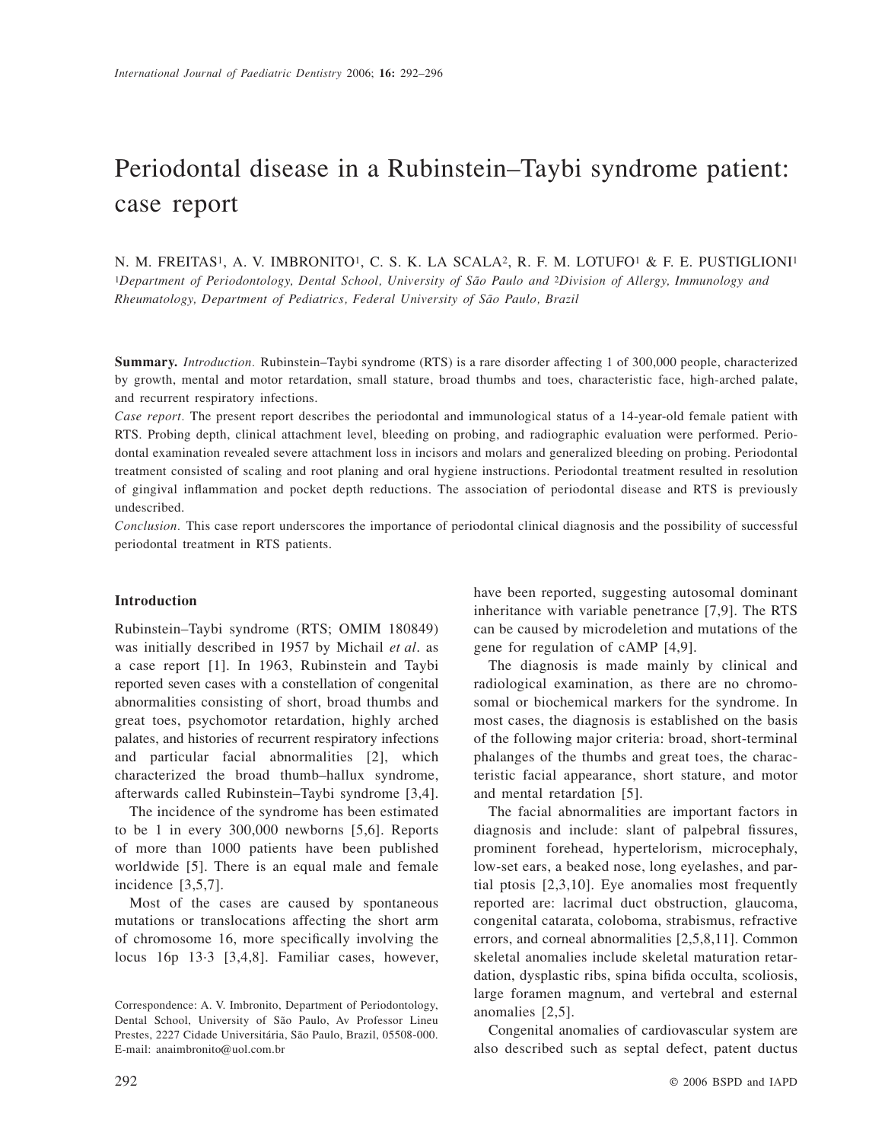# Periodontal disease in a Rubinstein–Taybi syndrome patient: case report

N. M. FREITAS1, A. V. IMBRONITO1, C. S. K. LA SCALA2, R. F. M. LOTUFO1 & F. E. PUSTIGLIONI1 1*Department of Periodontology, Dental School, University of São Paulo and* 2*Division of Allergy, Immunology and Rheumatology, Department of Pediatrics, Federal University of São Paulo, Brazil* 

**Summary.** *Introduction.* Rubinstein–Taybi syndrome (RTS) is a rare disorder affecting 1 of 300,000 people, characterized by growth, mental and motor retardation, small stature, broad thumbs and toes, characteristic face, high-arched palate, and recurrent respiratory infections.

*Case report.* The present report describes the periodontal and immunological status of a 14-year-old female patient with RTS. Probing depth, clinical attachment level, bleeding on probing, and radiographic evaluation were performed. Periodontal examination revealed severe attachment loss in incisors and molars and generalized bleeding on probing. Periodontal treatment consisted of scaling and root planing and oral hygiene instructions. Periodontal treatment resulted in resolution of gingival inflammation and pocket depth reductions. The association of periodontal disease and RTS is previously undescribed.

*Conclusion.* This case report underscores the importance of periodontal clinical diagnosis and the possibility of successful periodontal treatment in RTS patients.

### **Introduction**

Rubinstein–Taybi syndrome (RTS; OMIM 180849) was initially described in 1957 by Michail *et al*. as a case report [1]. In 1963, Rubinstein and Taybi reported seven cases with a constellation of congenital abnormalities consisting of short, broad thumbs and great toes, psychomotor retardation, highly arched palates, and histories of recurrent respiratory infections and particular facial abnormalities [2], which characterized the broad thumb–hallux syndrome, afterwards called Rubinstein–Taybi syndrome [3,4].

The incidence of the syndrome has been estimated to be 1 in every 300,000 newborns [5,6]. Reports of more than 1000 patients have been published worldwide [5]. There is an equal male and female incidence [3,5,7].

Most of the cases are caused by spontaneous mutations or translocations affecting the short arm of chromosome 16, more specifically involving the locus 16p 13·3 [3,4,8]. Familiar cases, however, have been reported, suggesting autosomal dominant inheritance with variable penetrance [7,9]. The RTS can be caused by microdeletion and mutations of the gene for regulation of cAMP [4,9].

The diagnosis is made mainly by clinical and radiological examination, as there are no chromosomal or biochemical markers for the syndrome. In most cases, the diagnosis is established on the basis of the following major criteria: broad, short-terminal phalanges of the thumbs and great toes, the characteristic facial appearance, short stature, and motor and mental retardation [5].

The facial abnormalities are important factors in diagnosis and include: slant of palpebral fissures, prominent forehead, hypertelorism, microcephaly, low-set ears, a beaked nose, long eyelashes, and partial ptosis [2,3,10]. Eye anomalies most frequently reported are: lacrimal duct obstruction, glaucoma, congenital catarata, coloboma, strabismus, refractive errors, and corneal abnormalities [2,5,8,11]. Common skeletal anomalies include skeletal maturation retardation, dysplastic ribs, spina bifida occulta, scoliosis, large foramen magnum, and vertebral and esternal anomalies [2,5].

Congenital anomalies of cardiovascular system are also described such as septal defect, patent ductus

Correspondence: A. V. Imbronito, Department of Periodontology, Dental School, University of São Paulo, Av Professor Lineu Prestes, 2227 Cidade Universitária, São Paulo, Brazil, 05508-000. E-mail: anaimbronito@uol.com.br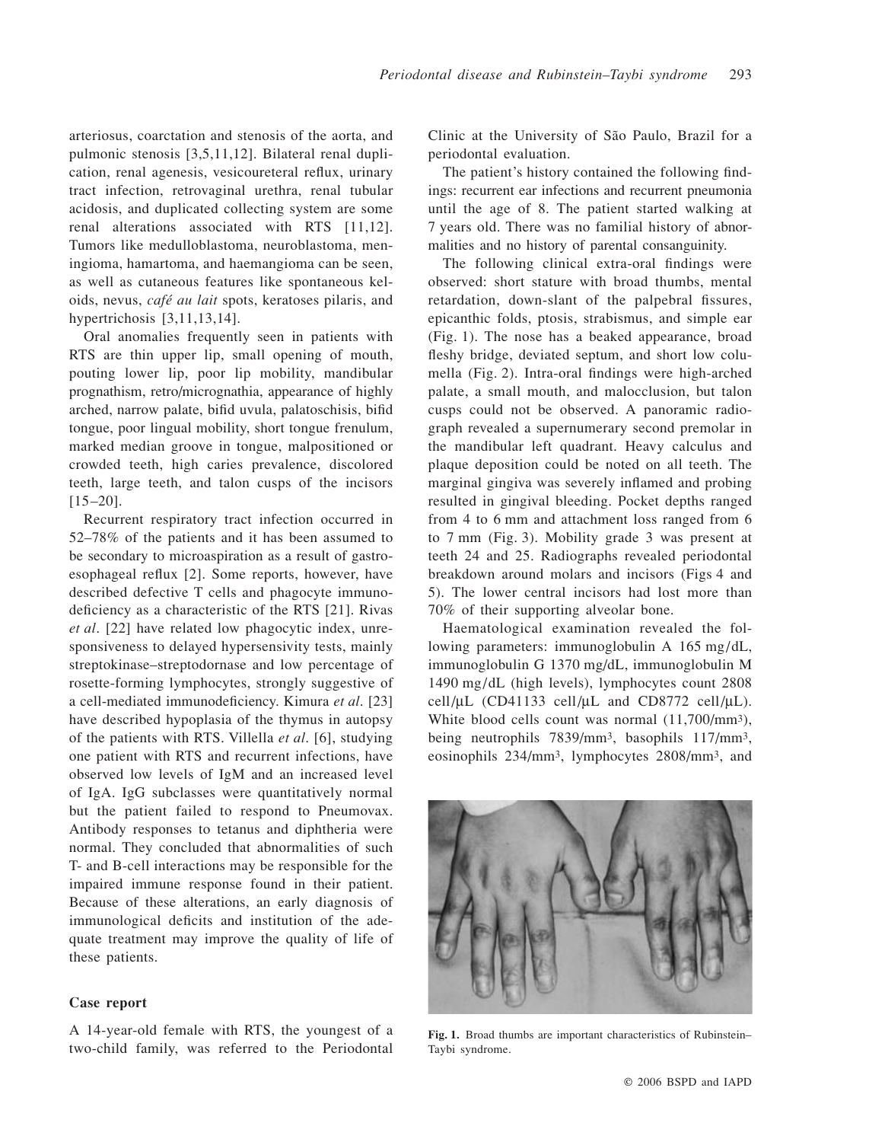arteriosus, coarctation and stenosis of the aorta, and pulmonic stenosis [3,5,11,12]. Bilateral renal duplication, renal agenesis, vesicoureteral reflux, urinary tract infection, retrovaginal urethra, renal tubular acidosis, and duplicated collecting system are some renal alterations associated with RTS [11,12]. Tumors like medulloblastoma, neuroblastoma, meningioma, hamartoma, and haemangioma can be seen, as well as cutaneous features like spontaneous keloids, nevus, *café au lait* spots, keratoses pilaris, and hypertrichosis [3,11,13,14].

Oral anomalies frequently seen in patients with RTS are thin upper lip, small opening of mouth, pouting lower lip, poor lip mobility, mandibular prognathism, retro/micrognathia, appearance of highly arched, narrow palate, bifid uvula, palatoschisis, bifid tongue, poor lingual mobility, short tongue frenulum, marked median groove in tongue, malpositioned or crowded teeth, high caries prevalence, discolored teeth, large teeth, and talon cusps of the incisors  $[15-20]$ .

Recurrent respiratory tract infection occurred in 52–78% of the patients and it has been assumed to be secondary to microaspiration as a result of gastroesophageal reflux [2]. Some reports, however, have described defective T cells and phagocyte immunodeficiency as a characteristic of the RTS [21]. Rivas *et al*. [22] have related low phagocytic index, unresponsiveness to delayed hypersensivity tests, mainly streptokinase–streptodornase and low percentage of rosette-forming lymphocytes, strongly suggestive of a cell-mediated immunodeficiency. Kimura *et al*. [23] have described hypoplasia of the thymus in autopsy of the patients with RTS. Villella *et al*. [6], studying one patient with RTS and recurrent infections, have observed low levels of IgM and an increased level of IgA. IgG subclasses were quantitatively normal but the patient failed to respond to Pneumovax. Antibody responses to tetanus and diphtheria were normal. They concluded that abnormalities of such T- and B-cell interactions may be responsible for the impaired immune response found in their patient. Because of these alterations, an early diagnosis of immunological deficits and institution of the adequate treatment may improve the quality of life of these patients.

## **Case report**

A 14-year-old female with RTS, the youngest of a two-child family, was referred to the Periodontal Clinic at the University of São Paulo, Brazil for a periodontal evaluation.

The patient's history contained the following findings: recurrent ear infections and recurrent pneumonia until the age of 8. The patient started walking at 7 years old. There was no familial history of abnormalities and no history of parental consanguinity.

The following clinical extra-oral findings were observed: short stature with broad thumbs, mental retardation, down-slant of the palpebral fissures, epicanthic folds, ptosis, strabismus, and simple ear (Fig. 1). The nose has a beaked appearance, broad fleshy bridge, deviated septum, and short low columella (Fig. 2). Intra-oral findings were high-arched palate, a small mouth, and malocclusion, but talon cusps could not be observed. A panoramic radiograph revealed a supernumerary second premolar in the mandibular left quadrant. Heavy calculus and plaque deposition could be noted on all teeth. The marginal gingiva was severely inflamed and probing resulted in gingival bleeding. Pocket depths ranged from 4 to 6 mm and attachment loss ranged from 6 to 7 mm (Fig. 3). Mobility grade 3 was present at teeth 24 and 25. Radiographs revealed periodontal breakdown around molars and incisors (Figs 4 and 5). The lower central incisors had lost more than 70% of their supporting alveolar bone.

Haematological examination revealed the following parameters: immunoglobulin A 165 mg/dL, immunoglobulin G 1370 mg/dL, immunoglobulin M 1490 mg/dL (high levels), lymphocytes count 2808 cell/ $\mu$ L (CD41133 cell/ $\mu$ L and CD8772 cell/ $\mu$ L). White blood cells count was normal (11,700/mm3), being neutrophils 7839/mm3, basophils 117/mm3, eosinophils 234/mm3, lymphocytes 2808/mm3, and



**Fig. 1.** Broad thumbs are important characteristics of Rubinstein– Taybi syndrome.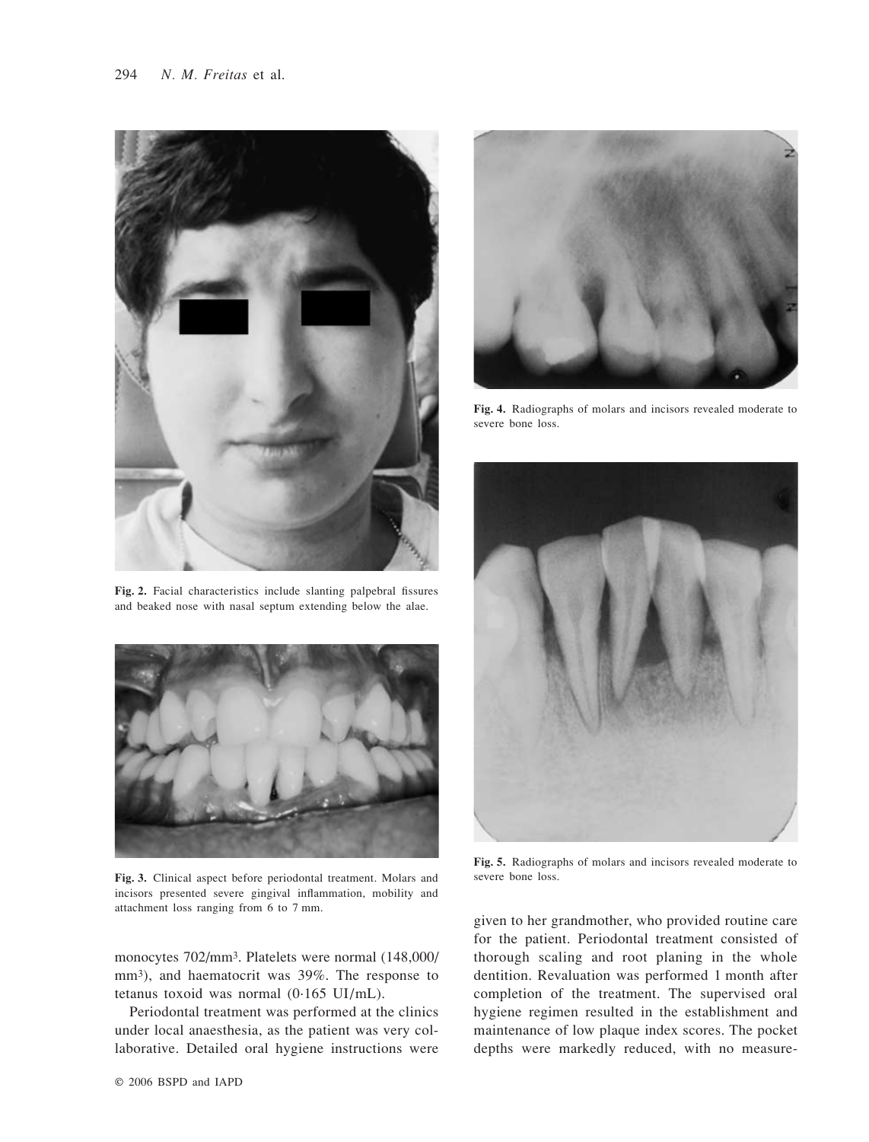

**Fig. 2.** Facial characteristics include slanting palpebral fissures and beaked nose with nasal septum extending below the alae.



**Fig. 3.** Clinical aspect before periodontal treatment. Molars and incisors presented severe gingival inflammation, mobility and attachment loss ranging from 6 to 7 mm.

monocytes 702/mm3. Platelets were normal (148,000/ mm3), and haematocrit was 39%. The response to tetanus toxoid was normal (0·165 UI/mL).

Periodontal treatment was performed at the clinics under local anaesthesia, as the patient was very collaborative. Detailed oral hygiene instructions were



**Fig. 4.** Radiographs of molars and incisors revealed moderate to severe bone loss.



**Fig. 5.** Radiographs of molars and incisors revealed moderate to severe bone loss.

given to her grandmother, who provided routine care for the patient. Periodontal treatment consisted of thorough scaling and root planing in the whole dentition. Revaluation was performed 1 month after completion of the treatment. The supervised oral hygiene regimen resulted in the establishment and maintenance of low plaque index scores. The pocket depths were markedly reduced, with no measure-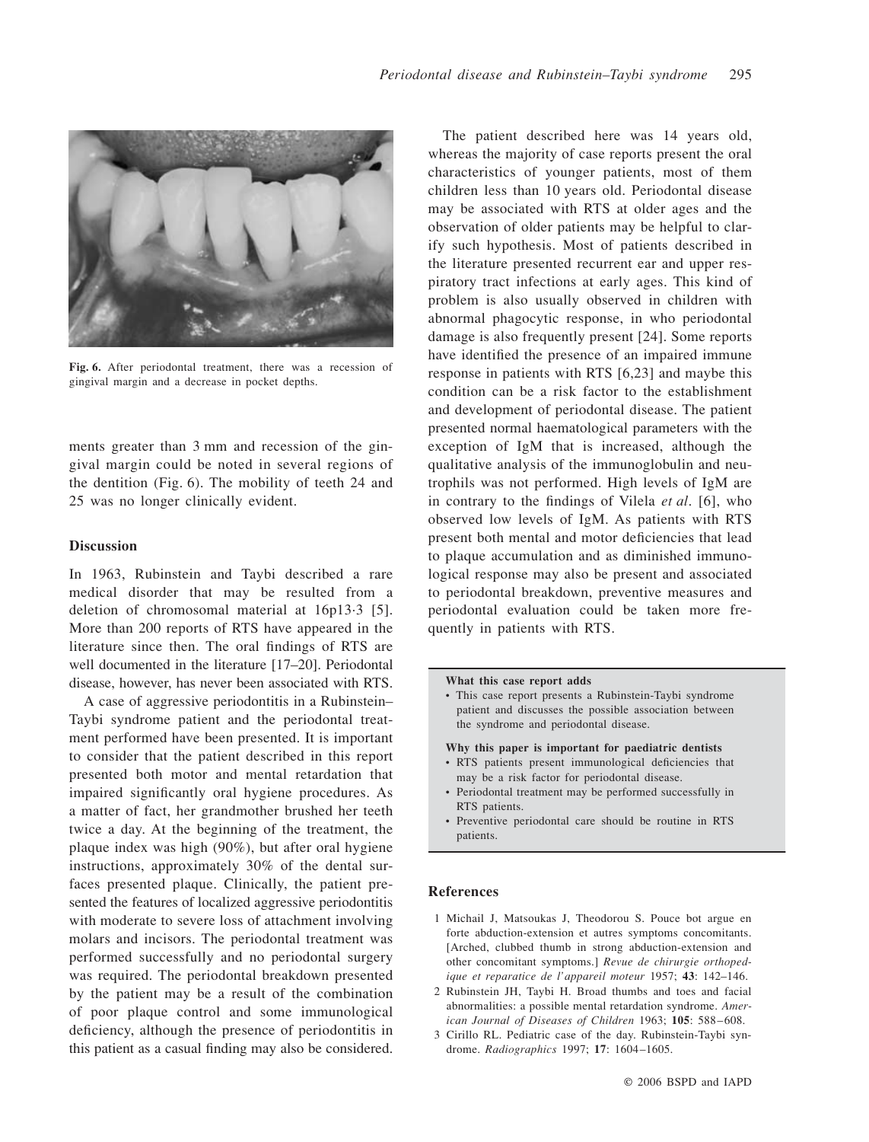

**Fig. 6.** After periodontal treatment, there was a recession of gingival margin and a decrease in pocket depths.

ments greater than 3 mm and recession of the gingival margin could be noted in several regions of the dentition (Fig. 6). The mobility of teeth 24 and 25 was no longer clinically evident.

# **Discussion**

In 1963, Rubinstein and Taybi described a rare medical disorder that may be resulted from a deletion of chromosomal material at 16p13·3 [5]. More than 200 reports of RTS have appeared in the literature since then. The oral findings of RTS are well documented in the literature [17–20]. Periodontal disease, however, has never been associated with RTS.

A case of aggressive periodontitis in a Rubinstein– Taybi syndrome patient and the periodontal treatment performed have been presented. It is important to consider that the patient described in this report presented both motor and mental retardation that impaired significantly oral hygiene procedures. As a matter of fact, her grandmother brushed her teeth twice a day. At the beginning of the treatment, the plaque index was high (90%), but after oral hygiene instructions, approximately 30% of the dental surfaces presented plaque. Clinically, the patient presented the features of localized aggressive periodontitis with moderate to severe loss of attachment involving molars and incisors. The periodontal treatment was performed successfully and no periodontal surgery was required. The periodontal breakdown presented by the patient may be a result of the combination of poor plaque control and some immunological deficiency, although the presence of periodontitis in this patient as a casual finding may also be considered.

The patient described here was 14 years old, whereas the majority of case reports present the oral characteristics of younger patients, most of them children less than 10 years old. Periodontal disease may be associated with RTS at older ages and the observation of older patients may be helpful to clarify such hypothesis. Most of patients described in the literature presented recurrent ear and upper respiratory tract infections at early ages. This kind of problem is also usually observed in children with abnormal phagocytic response, in who periodontal damage is also frequently present [24]. Some reports have identified the presence of an impaired immune response in patients with RTS [6,23] and maybe this condition can be a risk factor to the establishment and development of periodontal disease. The patient presented normal haematological parameters with the exception of IgM that is increased, although the qualitative analysis of the immunoglobulin and neutrophils was not performed. High levels of IgM are in contrary to the findings of Vilela *et al*. [6], who observed low levels of IgM. As patients with RTS present both mental and motor deficiencies that lead to plaque accumulation and as diminished immunological response may also be present and associated to periodontal breakdown, preventive measures and periodontal evaluation could be taken more frequently in patients with RTS.

#### **What this case report adds**

• This case report presents a Rubinstein-Taybi syndrome patient and discusses the possible association between the syndrome and periodontal disease.

**Why this paper is important for paediatric dentists**

- RTS patients present immunological deficiencies that may be a risk factor for periodontal disease.
- Periodontal treatment may be performed successfully in RTS patients.
- Preventive periodontal care should be routine in RTS patients.

## **References**

- 1 Michail J, Matsoukas J, Theodorou S. Pouce bot argue en forte abduction-extension et autres symptoms concomitants. [Arched, clubbed thumb in strong abduction-extension and other concomitant symptoms.] *Revue de chirurgie orthopedique et reparatice de l'appareil moteur* 1957; **43**: 142–146.
- 2 Rubinstein JH, Taybi H. Broad thumbs and toes and facial abnormalities: a possible mental retardation syndrome. *American Journal of Diseases of Children* 1963; **105**: 588–608.
- 3 Cirillo RL. Pediatric case of the day. Rubinstein-Taybi syndrome. *Radiographics* 1997; **17**: 1604–1605.